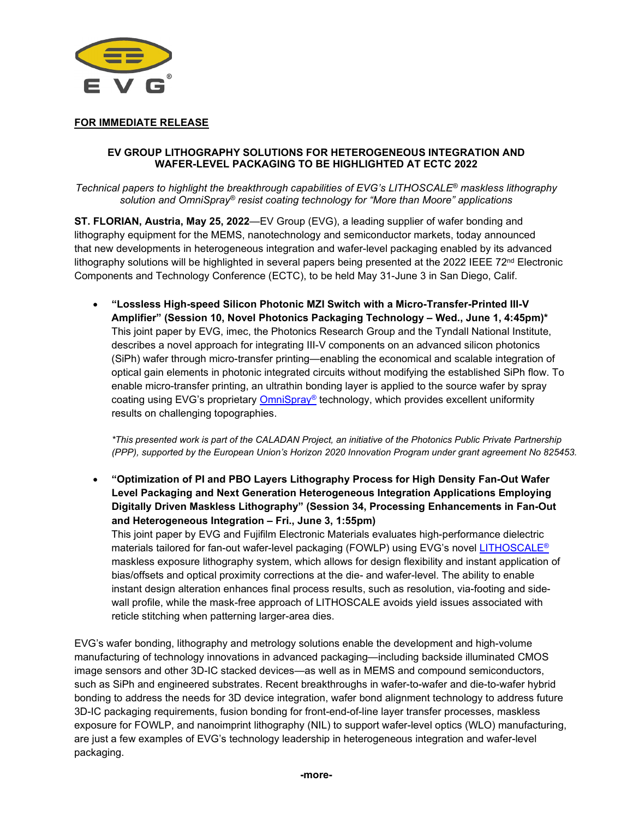

# **FOR IMMEDIATE RELEASE**

### **EV GROUP LITHOGRAPHY SOLUTIONS FOR HETEROGENEOUS INTEGRATION AND WAFER-LEVEL PACKAGING TO BE HIGHLIGHTED AT ECTC 2022**

*Technical papers to highlight the breakthrough capabilities of EVG's LITHOSCALE® maskless lithography solution and OmniSpray® resist coating technology for "More than Moore" applications*

**ST. FLORIAN, Austria, May 25, 2022**—EV Group (EVG), a leading supplier of wafer bonding and lithography equipment for the MEMS, nanotechnology and semiconductor markets, today announced that new developments in heterogeneous integration and wafer-level packaging enabled by its advanced lithography solutions will be highlighted in several papers being presented at the 2022 IEEE  $72<sup>nd</sup>$  Electronic Components and Technology Conference (ECTC), to be held May 31-June 3 in San Diego, Calif.

• **"Lossless High-speed Silicon Photonic MZI Switch with a Micro-Transfer-Printed III-V Amplifier" (Session 10, Novel Photonics Packaging Technology – Wed., June 1, 4:45pm)\*** This joint paper by EVG, imec, the Photonics Research Group and the Tyndall National Institute, describes a novel approach for integrating III-V components on an advanced silicon photonics (SiPh) wafer through micro-transfer printing—enabling the economical and scalable integration of optical gain elements in photonic integrated circuits without modifying the established SiPh flow. To enable micro-transfer printing, an ultrathin bonding layer is applied to the source wafer by spray coating using EVG's proprietary [OmniSpray®](https://www.evgroup.com/technologies/resist-processing-technology/spray-coating-technology/) technology, which provides excellent uniformity results on challenging topographies.

*\*This presented work is part of the CALADAN Project, an initiative of the Photonics Public Private Partnership (PPP), supported by the European Union's Horizon 2020 Innovation Program under grant agreement No 825453.*

• **"Optimization of PI and PBO Layers Lithography Process for High Density Fan-Out Wafer Level Packaging and Next Generation Heterogeneous Integration Applications Employing Digitally Driven Maskless Lithography" (Session 34, Processing Enhancements in Fan-Out and Heterogeneous Integration – Fri., June 3, 1:55pm)**

This joint paper by EVG and Fujifilm Electronic Materials evaluates high-performance dielectric materials tailored for fan-out wafer-level packaging (FOWLP) using EVG's novel [LITHOSCALE®](https://www.evgroup.com/products/lithography/lithoscale-maskless-exposure-lithography-systems/lithoscale/) maskless exposure lithography system, which allows for design flexibility and instant application of bias/offsets and optical proximity corrections at the die- and wafer-level. The ability to enable instant design alteration enhances final process results, such as resolution, via-footing and sidewall profile, while the mask-free approach of LITHOSCALE avoids yield issues associated with reticle stitching when patterning larger-area dies.

EVG's wafer bonding, lithography and metrology solutions enable the development and high-volume manufacturing of technology innovations in advanced packaging—including backside illuminated CMOS image sensors and other 3D-IC stacked devices—as well as in MEMS and compound semiconductors, such as SiPh and engineered substrates. Recent breakthroughs in wafer-to-wafer and die-to-wafer hybrid bonding to address the needs for 3D device integration, wafer bond alignment technology to address future 3D-IC packaging requirements, fusion bonding for front-end-of-line layer transfer processes, maskless exposure for FOWLP, and nanoimprint lithography (NIL) to support wafer-level optics (WLO) manufacturing, are just a few examples of EVG's technology leadership in heterogeneous integration and wafer-level packaging.